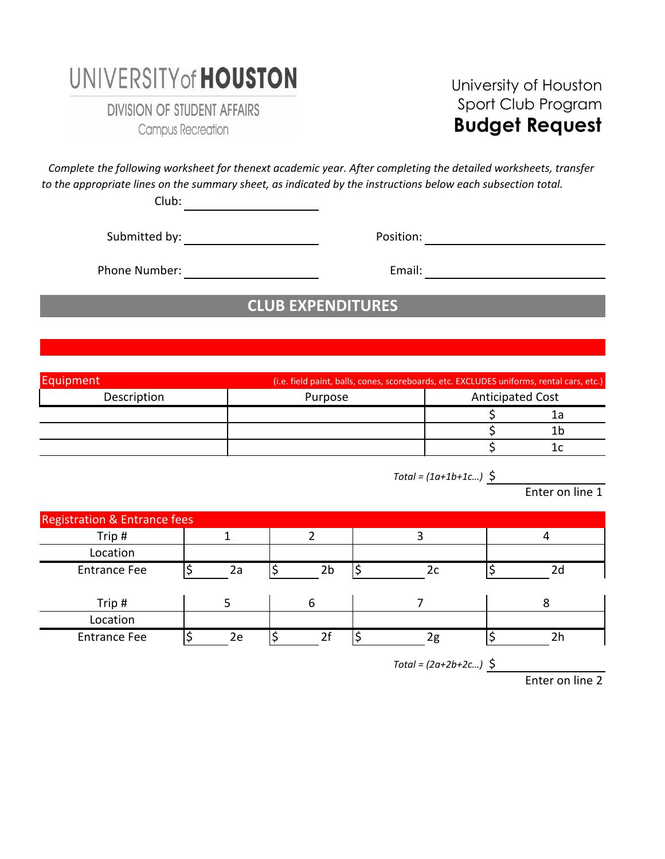## UNIVERSITY of **HOUSTON**

**DIVISION OF STUDENT AFFAIRS** Campus Recreation

#### University of Houston Sport Club Program **Budget Request**

*to the appropriate lines on the summary sheet, as indicated by the instructions below each subsection total. Complete the following worksheet for thenext academic year. After completing the detailed worksheets, transfer* 

Club:

Submitted by: Position:

Phone Number: Email:

### **CLUB EXPENDITURES**

| Equipment   | (i.e. field paint, balls, cones, scoreboards, etc. EXCLUDES uniforms, rental cars, etc.) |                         |    |
|-------------|------------------------------------------------------------------------------------------|-------------------------|----|
| Description | Purpose                                                                                  | <b>Anticipated Cost</b> |    |
|             |                                                                                          |                         | ıа |
|             |                                                                                          |                         |    |
|             |                                                                                          |                         |    |

*Total = (1a+1b+1c…)* \$

Enter on line 1

| <b>Registration &amp; Entrance fees</b> |    |    |    |    |
|-----------------------------------------|----|----|----|----|
| Trip#                                   |    |    |    |    |
| Location                                |    |    |    |    |
| <b>Entrance Fee</b>                     | 2a | 2b | 2c | 2d |
|                                         |    |    |    |    |
| Trip#                                   |    | 6  |    |    |
| Location                                |    |    |    |    |
| <b>Entrance Fee</b>                     | 2e | 2f | 2g | 2h |

*Total = (2a+2b+2c…)* \$

Enter on line 2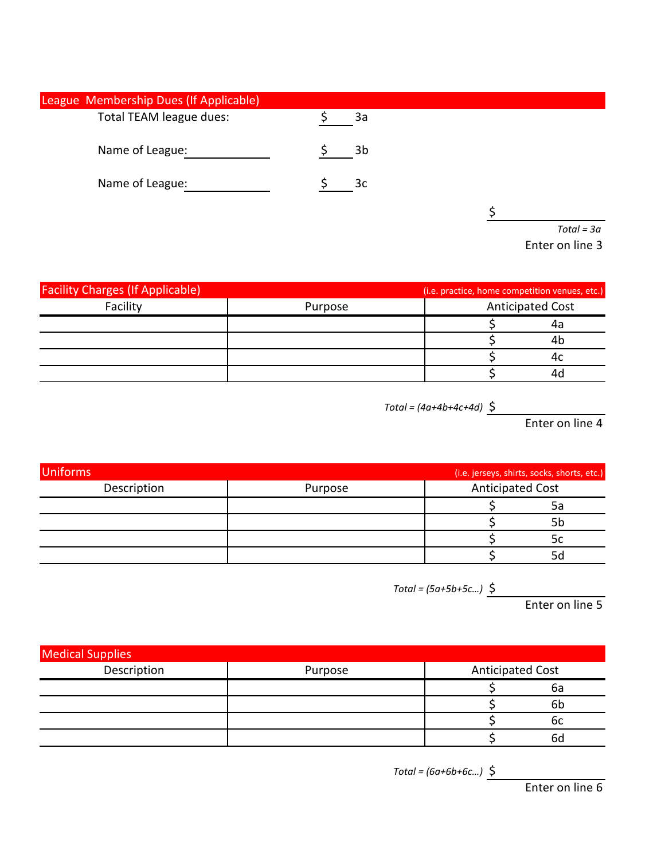| League Membership Dues (If Applicable) |                |              |
|----------------------------------------|----------------|--------------|
| Total TEAM league dues:                | 3a             |              |
| Name of League:                        | 3 <sub>b</sub> |              |
| Name of League:                        | 3c             |              |
|                                        |                |              |
|                                        |                | $Total = 3a$ |

Enter on line 3

| <b>Facility Charges (If Applicable)</b> |         | (i.e. practice, home competition venues, etc.) |  |
|-----------------------------------------|---------|------------------------------------------------|--|
| Facility                                | Purpose | <b>Anticipated Cost</b>                        |  |
|                                         |         | 4а                                             |  |
|                                         |         | 4ł                                             |  |
|                                         |         |                                                |  |
|                                         |         |                                                |  |

*Total = (4a+4b+4c+4d)* \$

Enter on line 4

| <b>Uniforms</b> |         |                         | (i.e. jerseys, shirts, socks, shorts, etc.) |
|-----------------|---------|-------------------------|---------------------------------------------|
| Description     | Purpose | <b>Anticipated Cost</b> |                                             |
|                 |         |                         | 5a                                          |
|                 |         |                         | 5b                                          |
|                 |         |                         | 5c                                          |
|                 |         |                         | 5c                                          |

*Total = (5a+5b+5c…)* \$

Enter on line 5

| <b>Medical Supplies</b> |         |                         |                |
|-------------------------|---------|-------------------------|----------------|
| Description             | Purpose | <b>Anticipated Cost</b> |                |
|                         |         |                         | 6а             |
|                         |         |                         | 6 <sub>b</sub> |
|                         |         |                         | 6c             |
|                         |         |                         | 6d             |

*Total = (6a+6b+6c…)* \$

Enter on line 6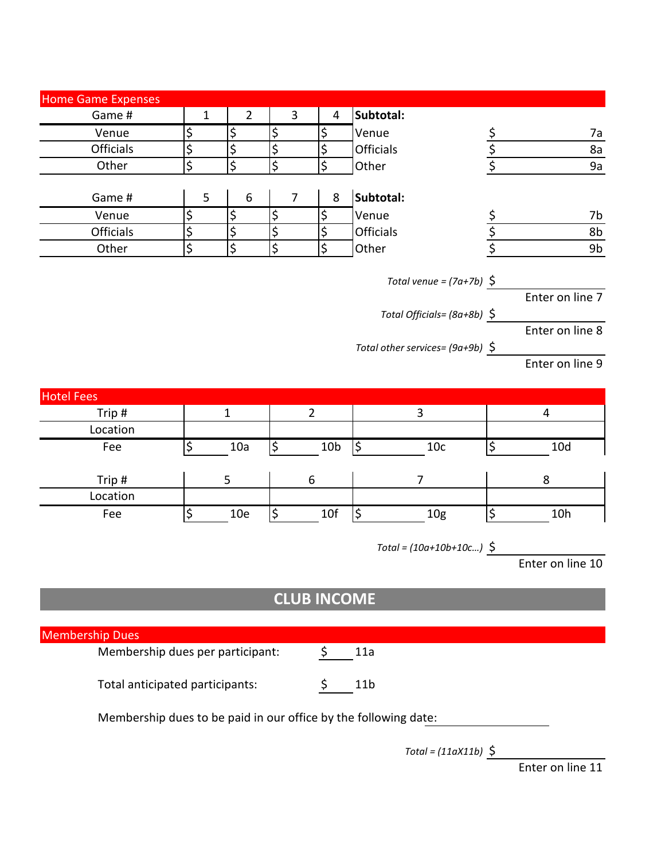|                        | <b>Home Game Expenses</b>        |                        |                          |                  |                    |                                    |                 |                  |
|------------------------|----------------------------------|------------------------|--------------------------|------------------|--------------------|------------------------------------|-----------------|------------------|
|                        | Game #                           | $\mathbf{1}$           | $\overline{2}$           | $\overline{3}$   | $\overline{4}$     | Subtotal:                          |                 |                  |
|                        | Venue                            | $\overline{\varsigma}$ | \$                       | \$               | \$                 | Venue                              |                 | 7a               |
|                        | <b>Officials</b>                 | $\overline{\xi}$       | $\overline{\mathcal{L}}$ | $\overline{\xi}$ | \$                 | <b>Officials</b>                   | $rac{\xi}{\xi}$ | 8a               |
|                        | Other                            | \$                     | \$                       | $\overline{\xi}$ | $\overline{\xi}$   | Other                              |                 | 9a               |
|                        |                                  |                        |                          |                  |                    |                                    |                 |                  |
|                        | Game #                           | 5                      | 6                        | $\overline{7}$   | 8                  | Subtotal:                          |                 |                  |
|                        | Venue                            | \$                     | \$                       | \$               | \$                 | Venue                              |                 | 7b               |
|                        | Officials                        | $\overline{\xi}$       | $\zeta$                  | $\varsigma$      | $\zeta$            | <b>Officials</b>                   | $rac{5}{5}$     | 8b               |
|                        | Other                            | $\overline{\xi}$       | \$                       | \$               | \$                 | Other                              |                 | 9 <sub>b</sub>   |
|                        |                                  |                        |                          |                  |                    |                                    |                 |                  |
|                        |                                  |                        |                          |                  |                    | Total venue = $(7a+7b)$ \$         |                 |                  |
|                        |                                  |                        |                          |                  |                    |                                    |                 | Enter on line 7  |
|                        |                                  |                        |                          |                  |                    | Total Officials= $(8a+8b)$ \$      |                 |                  |
|                        |                                  |                        |                          |                  |                    |                                    |                 | Enter on line 8  |
|                        |                                  |                        |                          |                  |                    | Total other services= $(9a+9b)$ \$ |                 |                  |
|                        |                                  |                        |                          |                  |                    |                                    |                 | Enter on line 9  |
|                        |                                  |                        |                          |                  |                    |                                    |                 |                  |
| <b>Hotel Fees</b>      |                                  |                        |                          |                  |                    |                                    |                 |                  |
|                        | Trip#                            |                        | $\mathbf{1}$             |                  | $\overline{2}$     | $\mathbf{3}$                       |                 | 4                |
|                        | Location                         |                        |                          |                  |                    |                                    |                 |                  |
|                        | Fee                              | \$                     | 10a                      | $\varsigma$      | 10 <sub>b</sub>    | $\varsigma$<br>10 <sub>c</sub>     | ٩               | 10d              |
|                        | Trip#                            |                        | 5                        |                  | 6                  | $\overline{7}$                     |                 | 8                |
|                        | Location                         |                        |                          |                  |                    |                                    |                 |                  |
|                        | Fee                              | $\zeta$                | 10e                      | $\zeta$          | 10f                | \$<br>10 <sub>g</sub>              | $\varsigma$     | 10h              |
|                        |                                  |                        |                          |                  |                    |                                    |                 |                  |
|                        |                                  |                        |                          |                  |                    | $Total = (10a+10b+10c)$ \$         |                 |                  |
|                        |                                  |                        |                          |                  |                    |                                    |                 | Enter on line 10 |
|                        |                                  |                        |                          |                  |                    |                                    |                 |                  |
|                        |                                  |                        |                          |                  |                    |                                    |                 |                  |
|                        |                                  |                        |                          |                  |                    |                                    |                 |                  |
|                        |                                  |                        |                          |                  | <b>CLUB INCOME</b> |                                    |                 |                  |
|                        |                                  |                        |                          |                  |                    |                                    |                 |                  |
| <b>Membership Dues</b> |                                  |                        |                          |                  |                    |                                    |                 |                  |
|                        | Membership dues per participant: |                        |                          |                  | \$                 | 11a                                |                 |                  |

Membership dues to be paid in our office by the following date:

*Total = (11aX11b)* \$

Enter on line 11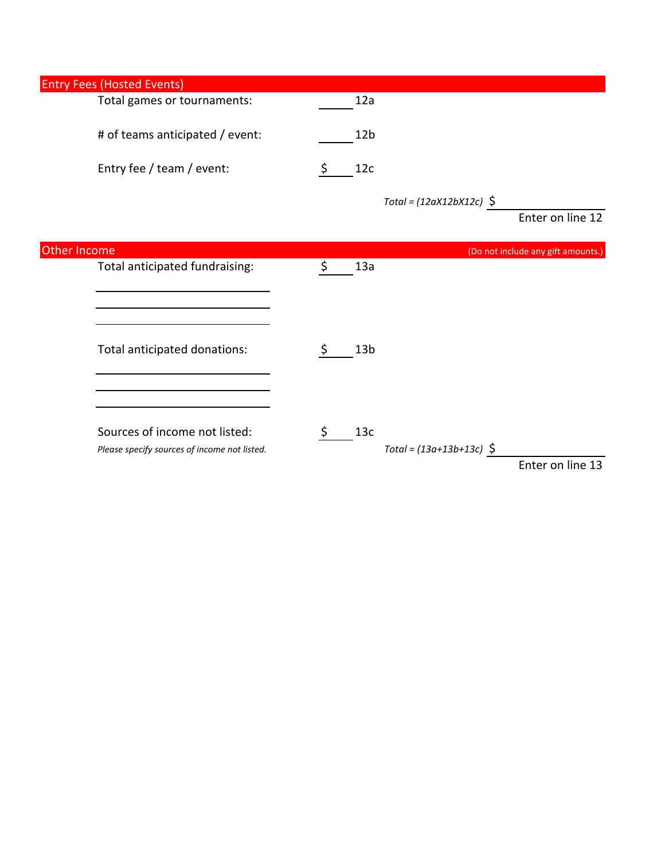| <b>Entry Fees (Hosted Events)</b>                                             |                                         |                                    |
|-------------------------------------------------------------------------------|-----------------------------------------|------------------------------------|
| Total games or tournaments:                                                   | 12a                                     |                                    |
| # of teams anticipated / event:                                               | 12 <sub>b</sub>                         |                                    |
| Entry fee / team / event:                                                     | 12c                                     |                                    |
|                                                                               | Total = $(12aX12bX12c)$ \$              | Enter on line 12                   |
| Other Income                                                                  |                                         | (Do not include any gift amounts.) |
| Total anticipated fundraising:                                                | 13a<br>\$                               |                                    |
| Total anticipated donations:                                                  | 13 <sub>b</sub><br>\$                   |                                    |
| Sources of income not listed:<br>Please specify sources of income not listed. | 13c<br>S.<br>$Total = (13a+13b+13c)$ \$ | Enter on line 13                   |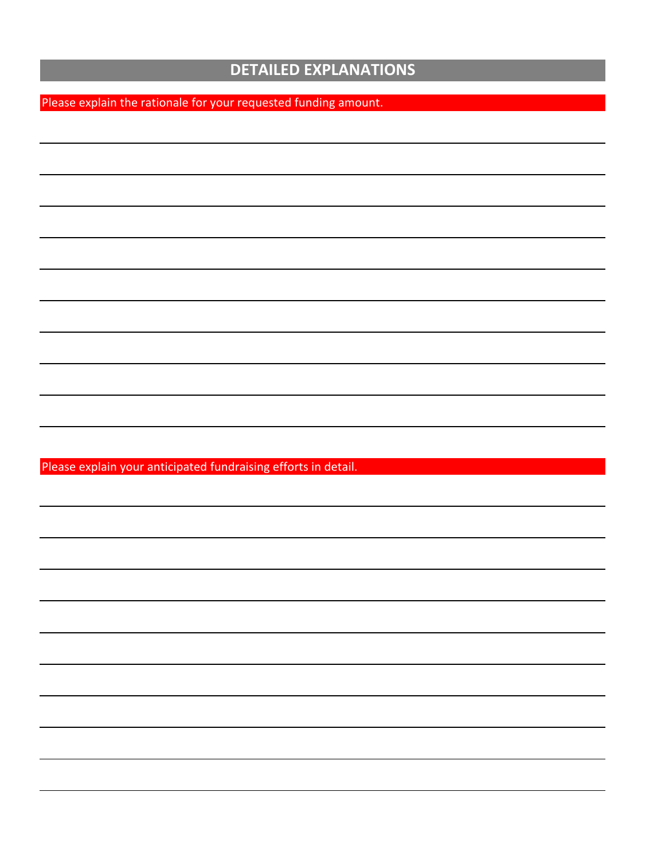#### **DETAILED EXPLANATIONS**

Please explain the rationale for your requested funding amount.

Please explain your anticipated fundraising efforts in detail.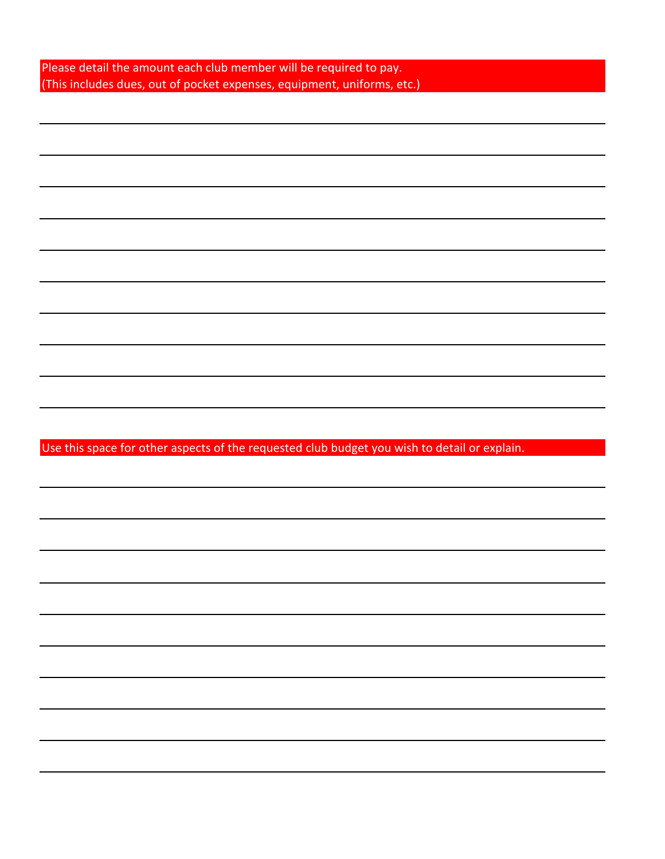| Please detail the amount each club member will be required to pay.      |
|-------------------------------------------------------------------------|
| (This includes dues, out of pocket expenses, equipment, uniforms, etc.) |

Use this space for other aspects of the requested club budget you wish to detail or explain.